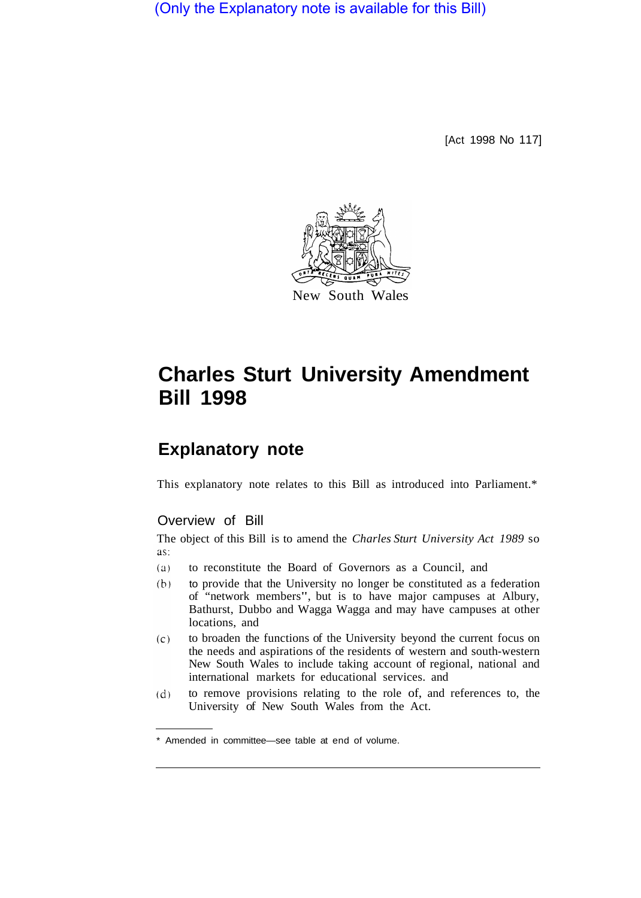(Only the Explanatory note is available for this Bill)

[Act 1998 No 117]



# **Charles Sturt University Amendment Bill 1998**

## **Explanatory note**

This explanatory note relates to this Bill as introduced into Parliament.\*

#### Overview of Bill

The object of this Bill is to amend the *Charles Sturt University Act 1989* so as:

- $(a)$ to reconstitute the Board of Governors as a Council, and
- $(b)$ to provide that the University no longer be constituted as a federation of "network members", but is to have major campuses at Albury, Bathurst, Dubbo and Wagga Wagga and may have campuses at other locations, and
- $(c)$ to broaden the functions of the University beyond the current focus on the needs and aspirations of the residents of western and south-western New South Wales to include taking account of regional, national and international markets for educational services. and
- to remove provisions relating to the role of, and references to, the  $(d)$ University of New South Wales from the Act.

<sup>\*</sup> Amended in committee—see table at end of volume.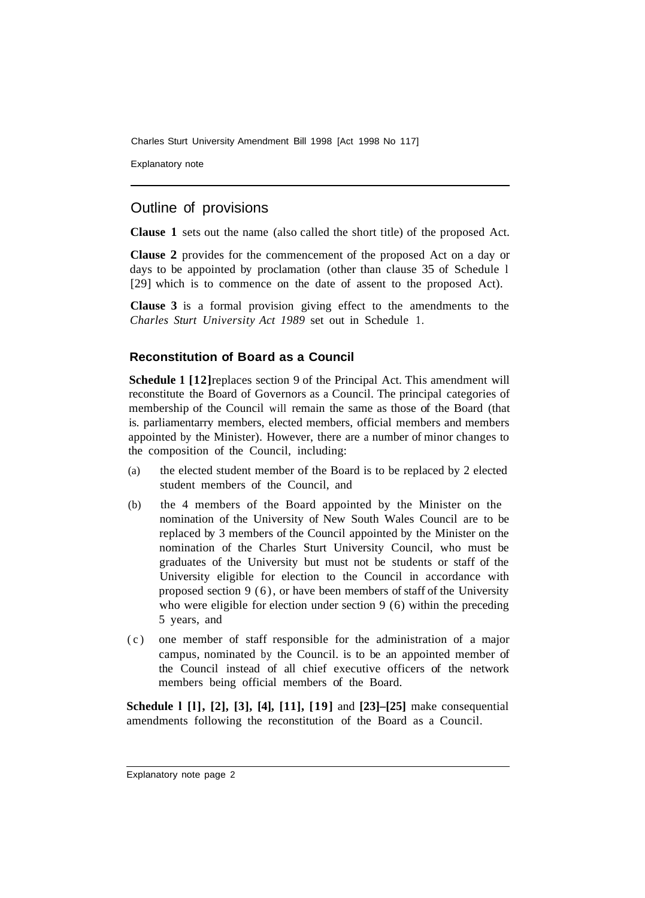Charles Sturt University Amendment Bill 1998 [Act 1998 No 117]

Explanatory note

### Outline of provisions

**Clause 1** sets out the name (also called the short title) of the proposed Act.

**Clause 2** provides for the commencement of the proposed Act on a day or days to be appointed by proclamation (other than clause 35 of Schedule l [29] which is to commence on the date of assent to the proposed Act).

**Clause 3** is a formal provision giving effect to the amendments to the *Charles Sturt University Act 1989* set out in Schedule 1.

#### **Reconstitution of Board as a Council**

**Schedule 1** [12] replaces section 9 of the Principal Act. This amendment will reconstitute the Board of Governors as a Council. The principal categories of membership of the Council will remain the same as those of the Board (that is. parliamentarry members, elected members, official members and members appointed by the Minister). However, there are a number of minor changes to the composition of the Council, including:

- (a) the elected student member of the Board is to be replaced by 2 elected student members of the Council, and
- (b) the 4 members of the Board appointed by the Minister on the nomination of the University of New South Wales Council are to be replaced by 3 members of the Council appointed by the Minister on the nomination of the Charles Sturt University Council, who must be graduates of the University but must not be students or staff of the University eligible for election to the Council in accordance with proposed section 9 (6), or have been members of staff of the University who were eligible for election under section 9 (6) within the preceding 5 years, and
- (c) one member of staff responsible for the administration of a major campus, nominated by the Council. is to be an appointed member of the Council instead of all chief executive officers of the network members being official members of the Board.

**Schedule l [l], [2], [3], [4], [11], [19]** and **[23]–[25]** make consequential amendments following the reconstitution of the Board as a Council.